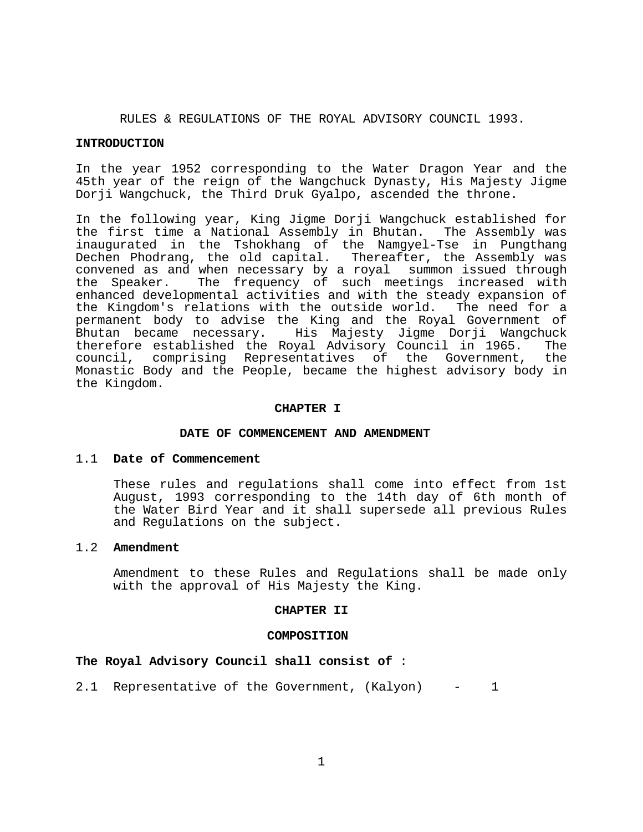RULES & REGULATIONS OF THE ROYAL ADVISORY COUNCIL 1993.

#### **INTRODUCTION**

In the year 1952 corresponding to the Water Dragon Year and the 45th year of the reign of the Wangchuck Dynasty, His Majesty Jigme Dorji Wangchuck, the Third Druk Gyalpo, ascended the throne.

In the following year, King Jigme Dorji Wangchuck established for the first time a National Assembly in Bhutan. The Assembly was inaugurated in the Tshokhang of the Namgyel-Tse in Pungthang Dechen Phodrang, the old capital. Thereafter, the Assembly was convened as and when necessary by a royal summon issued through the Speaker. The frequency of such meetings increased with enhanced developmental activities and with the steady expansion of the Kingdom's relations with the outside world. The need for a permanent body to advise the King and the Royal Government of Bhutan became necessary. His Majesty Jigme Dorji Wangchuck therefore established the Royal Advisory Council in 1965. The council, comprising Representatives of the Government, the Monastic Body and the People, became the highest advisory body in the Kingdom.

#### **CHAPTER I**

### **DATE OF COMMENCEMENT AND AMENDMENT**

### 1.1 **Date of Commencement**

 These rules and regulations shall come into effect from 1st August, 1993 corresponding to the 14th day of 6th month of the Water Bird Year and it shall supersede all previous Rules and Regulations on the subject.

### 1.2 **Amendment**

 Amendment to these Rules and Regulations shall be made only with the approval of His Majesty the King.

#### **CHAPTER II**

#### **COMPOSITION**

# **The Royal Advisory Council shall consist of** :

2.1 Representative of the Government, (Kalyon) - 1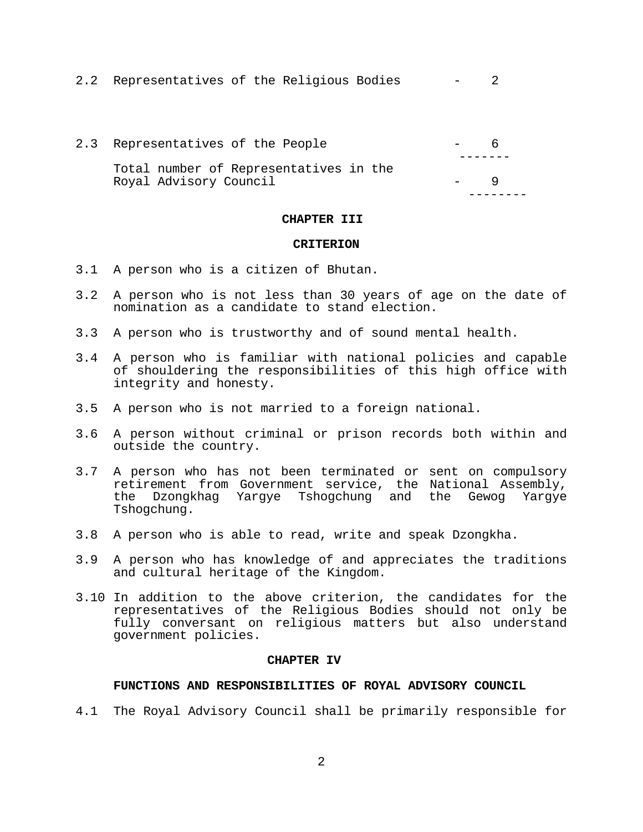|  | 2.2 Representatives of the Religious Bodies |  |  |  |  |  |  |
|--|---------------------------------------------|--|--|--|--|--|--|
|--|---------------------------------------------|--|--|--|--|--|--|

| 2.3 Representatives of the People                                |  |
|------------------------------------------------------------------|--|
| Total number of Representatives in the<br>Royal Advisory Council |  |

# **CHAPTER III**

### **CRITERION**

- 3.1 A person who is a citizen of Bhutan.
- 3.2 A person who is not less than 30 years of age on the date of nomination as a candidate to stand election.
- 3.3 A person who is trustworthy and of sound mental health.
- 3.4 A person who is familiar with national policies and capable of shouldering the responsibilities of this high office with integrity and honesty.
- 3.5 A person who is not married to a foreign national.
- 3.6 A person without criminal or prison records both within and outside the country.
- 3.7 A person who has not been terminated or sent on compulsory retirement from Government service, the National Assembly, the Dzongkhag Yargye Tshogchung and the Gewog Yargye Tshogchung.
- 3.8 A person who is able to read, write and speak Dzongkha.
- 3.9 A person who has knowledge of and appreciates the traditions and cultural heritage of the Kingdom.
- 3.10 In addition to the above criterion, the candidates for the representatives of the Religious Bodies should not only be fully conversant on religious matters but also understand government policies.

#### **CHAPTER IV**

### **FUNCTIONS AND RESPONSIBILITIES OF ROYAL ADVISORY COUNCIL**

4.1 The Royal Advisory Council shall be primarily responsible for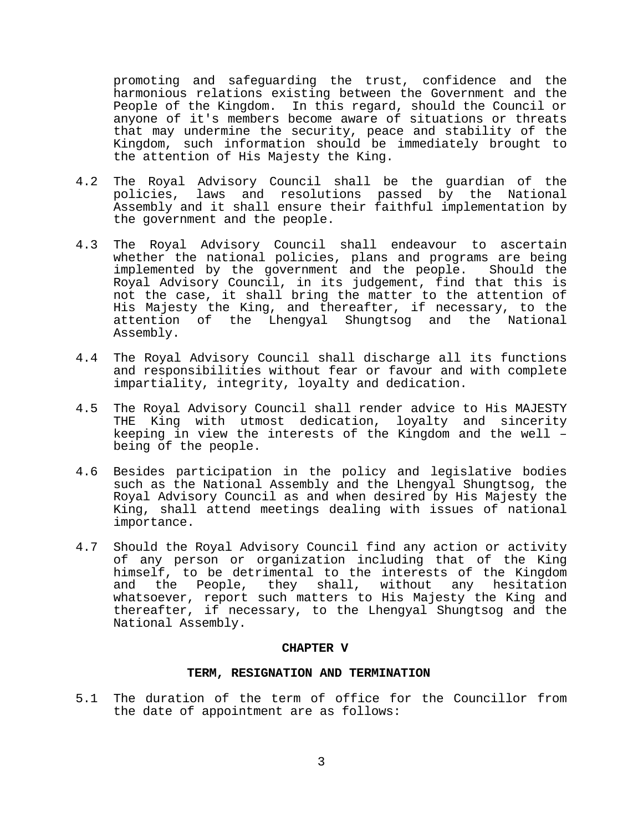promoting and safeguarding the trust, confidence and the harmonious relations existing between the Government and the People of the Kingdom. In this regard, should the Council or anyone of it's members become aware of situations or threats that may undermine the security, peace and stability of the Kingdom, such information should be immediately brought to the attention of His Majesty the King.

- 4.2 The Royal Advisory Council shall be the guardian of the policies, laws and resolutions passed by the National Assembly and it shall ensure their faithful implementation by the government and the people.
- 4.3 The Royal Advisory Council shall endeavour to ascertain whether the national policies, plans and programs are being implemented by the government and the people. Should the Royal Advisory Council, in its judgement, find that this is not the case, it shall bring the matter to the attention of His Majesty the King, and thereafter, if necessary, to the attention of the Lhengyal Shungtsog and the National Assembly.
- 4.4 The Royal Advisory Council shall discharge all its functions and responsibilities without fear or favour and with complete impartiality, integrity, loyalty and dedication.
- 4.5 The Royal Advisory Council shall render advice to His MAJESTY THE King with utmost dedication, loyalty and sincerity keeping in view the interests of the Kingdom and the well – being of the people.
- 4.6 Besides participation in the policy and legislative bodies such as the National Assembly and the Lhengyal Shungtsog, the Royal Advisory Council as and when desired by His Majesty the King, shall attend meetings dealing with issues of national importance.
- 4.7 Should the Royal Advisory Council find any action or activity of any person or organization including that of the King himself, to be detrimental to the interests of the Kingdom and the People, they shall, without any hesitation whatsoever, report such matters to His Majesty the King and thereafter, if necessary, to the Lhengyal Shungtsog and the National Assembly.

# **CHAPTER V**

# **TERM, RESIGNATION AND TERMINATION**

5.1 The duration of the term of office for the Councillor from the date of appointment are as follows: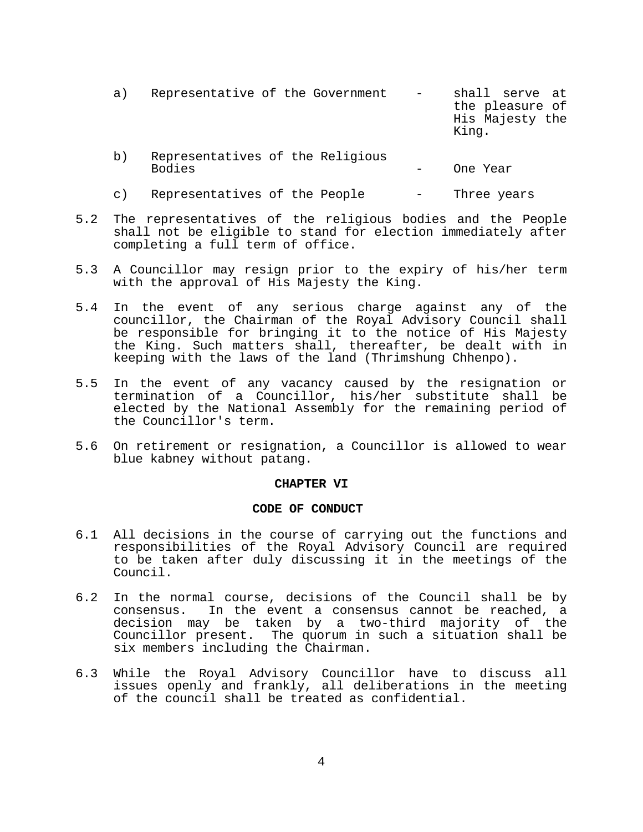| a) | Representative of the Government                  | $-$ | shall serve at<br>the pleasure of<br>His Majesty the<br>King. |
|----|---------------------------------------------------|-----|---------------------------------------------------------------|
| b) | Representatives of the Religious<br><b>Bodies</b> |     | One Year                                                      |

- c) Representatives of the People Three years
- 5.2 The representatives of the religious bodies and the People shall not be eligible to stand for election immediately after completing a full term of office.
- 5.3 A Councillor may resign prior to the expiry of his/her term with the approval of His Majesty the King.
- 5.4 In the event of any serious charge against any of the councillor, the Chairman of the Royal Advisory Council shall be responsible for bringing it to the notice of His Majesty the King. Such matters shall, thereafter, be dealt with in keeping with the laws of the land (Thrimshung Chhenpo).
- 5.5 In the event of any vacancy caused by the resignation or termination of a Councillor, his/her substitute shall be elected by the National Assembly for the remaining period of the Councillor's term.
- 5.6 On retirement or resignation, a Councillor is allowed to wear blue kabney without patang.

### **CHAPTER VI**

# **CODE OF CONDUCT**

- 6.1 All decisions in the course of carrying out the functions and responsibilities of the Royal Advisory Council are required to be taken after duly discussing it in the meetings of the Council.
- 6.2 In the normal course, decisions of the Council shall be by consensus. In the event a consensus cannot be reached, a decision may be taken by a two-third majority of the Councillor present. The quorum in such a situation shall be six members including the Chairman.
- 6.3 While the Royal Advisory Councillor have to discuss all issues openly and frankly, all deliberations in the meeting of the council shall be treated as confidential.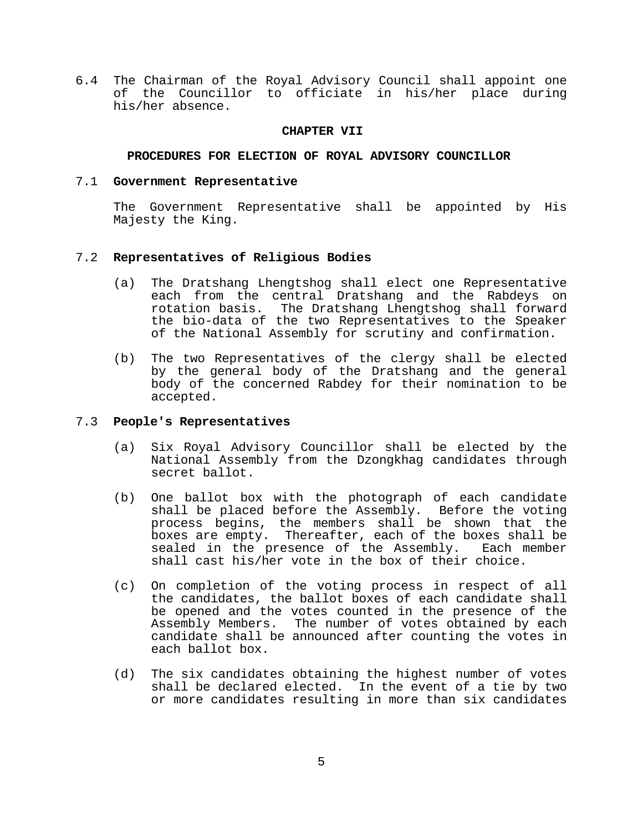6.4 The Chairman of the Royal Advisory Council shall appoint one of the Councillor to officiate in his/her place during his/her absence.

# **CHAPTER VII**

# **PROCEDURES FOR ELECTION OF ROYAL ADVISORY COUNCILLOR**

# 7.1 **Government Representative**

 The Government Representative shall be appointed by His Majesty the King.

# 7.2 **Representatives of Religious Bodies**

- (a) The Dratshang Lhengtshog shall elect one Representative each from the central Dratshang and the Rabdeys on<br>rotation basis. The Dratshang Lhengtshog shall forward The Dratshang Lhengtshog shall forward the bio-data of the two Representatives to the Speaker of the National Assembly for scrutiny and confirmation.
- (b) The two Representatives of the clergy shall be elected by the general body of the Dratshang and the general body of the concerned Rabdey for their nomination to be accepted.

# 7.3 **People's Representatives**

- (a) Six Royal Advisory Councillor shall be elected by the National Assembly from the Dzongkhag candidates through secret ballot.
- (b) One ballot box with the photograph of each candidate shall be placed before the Assembly. Before the voting process begins, the members shall be shown that the boxes are empty. Thereafter, each of the boxes shall be sealed in the presence of the Assembly. Each member sealed in the presence of the Assembly. shall cast his/her vote in the box of their choice.
- (c) On completion of the voting process in respect of all the candidates, the ballot boxes of each candidate shall be opened and the votes counted in the presence of the Assembly Members. The number of votes obtained by each candidate shall be announced after counting the votes in each ballot box.
- (d) The six candidates obtaining the highest number of votes shall be declared elected. In the event of a tie by two or more candidates resulting in more than six candidates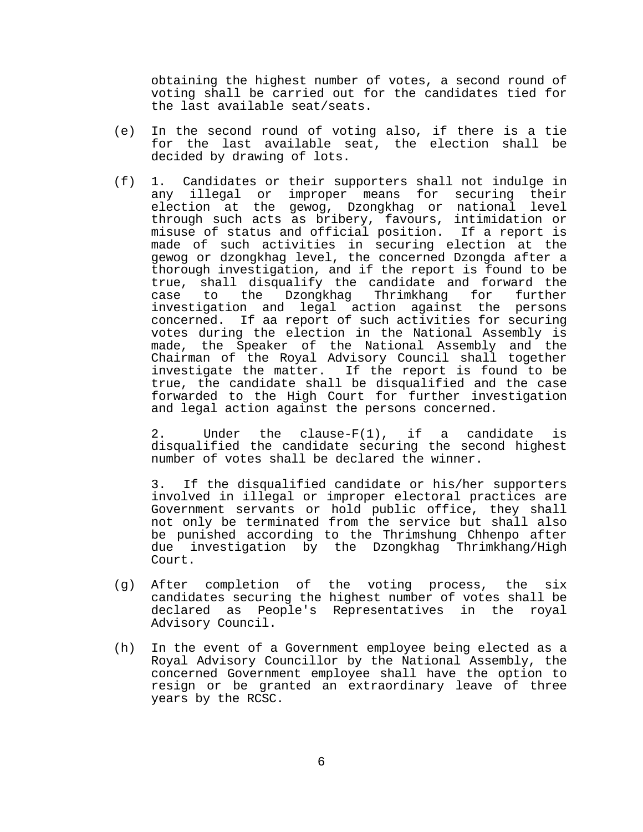obtaining the highest number of votes, a second round of voting shall be carried out for the candidates tied for the last available seat/seats.

- (e) In the second round of voting also, if there is a tie for the last available seat, the election shall be decided by drawing of lots.
- (f) 1. Candidates or their supporters shall not indulge in any illegal or improper means for securing their election at the gewog, Dzongkhag or national level through such acts as bribery, favours, intimidation or misuse of status and official position. If a report is made of such activities in securing election at the gewog or dzongkhag level, the concerned Dzongda after a thorough investigation, and if the report is found to be true, shall disqualify the candidate and forward the case to the Dzongkhag Thrimkhang for further investigation and legal action against the persons concerned. If aa report of such activities for securing votes during the election in the National Assembly is made, the Speaker of the National Assembly and the Chairman of the Royal Advisory Council shall together investigate the matter. If the report is found to be true, the candidate shall be disqualified and the case forwarded to the High Court for further investigation and legal action against the persons concerned.

 2. Under the clause-F(1), if a candidate is disqualified the candidate securing the second highest number of votes shall be declared the winner.

 3. If the disqualified candidate or his/her supporters involved in illegal or improper electoral practices are Government servants or hold public office, they shall not only be terminated from the service but shall also be punished according to the Thrimshung Chhenpo after due investigation by the Dzongkhag Thrimkhang/High Court.

- (g) After completion of the voting process, the six candidates securing the highest number of votes shall be declared as People's Representatives in the royal Advisory Council.
- (h) In the event of a Government employee being elected as a Royal Advisory Councillor by the National Assembly, the concerned Government employee shall have the option to resign or be granted an extraordinary leave of three years by the RCSC.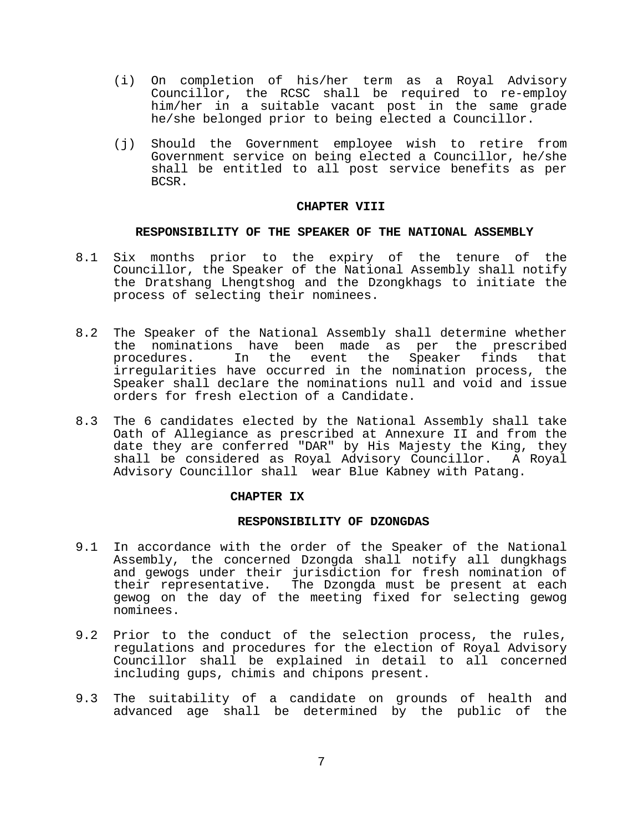- (i) On completion of his/her term as a Royal Advisory Councillor, the RCSC shall be required to re-employ him/her in a suitable vacant post in the same grade he/she belonged prior to being elected a Councillor.
- (j) Should the Government employee wish to retire from Government service on being elected a Councillor, he/she shall be entitled to all post service benefits as per BCSR.

### **CHAPTER VIII**

# **RESPONSIBILITY OF THE SPEAKER OF THE NATIONAL ASSEMBLY**

- 8.1 Six months prior to the expiry of the tenure of the Councillor, the Speaker of the National Assembly shall notify the Dratshang Lhengtshog and the Dzongkhags to initiate the process of selecting their nominees.
- 8.2 The Speaker of the National Assembly shall determine whether the nominations have been made as per the prescribed procedures. In the event the Speaker finds that irregularities have occurred in the nomination process, the Speaker shall declare the nominations null and void and issue orders for fresh election of a Candidate.
- 8.3 The 6 candidates elected by the National Assembly shall take Oath of Allegiance as prescribed at Annexure II and from the date they are conferred "DAR" by His Majesty the King, they shall be considered as Royal Advisory Councillor. A Royal Advisory Councillor shall wear Blue Kabney with Patang.

# **CHAPTER IX**

### **RESPONSIBILITY OF DZONGDAS**

- 9.1 In accordance with the order of the Speaker of the National Assembly, the concerned Dzongda shall notify all dungkhags and gewogs under their jurisdiction for fresh nomination of their representative. The Dzongda must be present at each gewog on the day of the meeting fixed for selecting gewog nominees.
- 9.2 Prior to the conduct of the selection process, the rules, regulations and procedures for the election of Royal Advisory Councillor shall be explained in detail to all concerned including gups, chimis and chipons present.
- 9.3 The suitability of a candidate on grounds of health and advanced age shall be determined by the public of the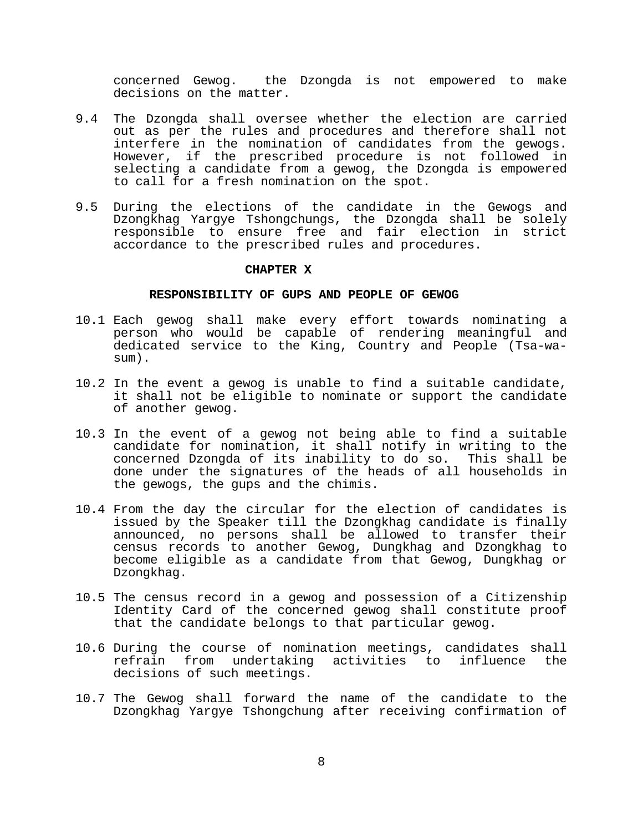concerned Gewog. the Dzongda is not empowered to make decisions on the matter.

- 9.4 The Dzongda shall oversee whether the election are carried out as per the rules and procedures and therefore shall not interfere in the nomination of candidates from the gewogs. However, if the prescribed procedure is not followed in selecting a candidate from a gewog, the Dzongda is empowered to call for a fresh nomination on the spot.
- 9.5 During the elections of the candidate in the Gewogs and Dzongkhag Yargye Tshongchungs, the Dzongda shall be solely responsible to ensure free and fair election in strict accordance to the prescribed rules and procedures.

### **CHAPTER X**

# **RESPONSIBILITY OF GUPS AND PEOPLE OF GEWOG**

- 10.1 Each gewog shall make every effort towards nominating a person who would be capable of rendering meaningful and dedicated service to the King, Country and People (Tsa-wasum).
- 10.2 In the event a gewog is unable to find a suitable candidate, it shall not be eligible to nominate or support the candidate of another gewog.
- 10.3 In the event of a gewog not being able to find a suitable candidate for nomination, it shall notify in writing to the concerned Dzongda of its inability to do so. This shall be done under the signatures of the heads of all households in the gewogs, the gups and the chimis.
- 10.4 From the day the circular for the election of candidates is issued by the Speaker till the Dzongkhag candidate is finally announced, no persons shall be allowed to transfer their census records to another Gewog, Dungkhag and Dzongkhag to become eligible as a candidate from that Gewog, Dungkhag or Dzongkhag.
- 10.5 The census record in a gewog and possession of a Citizenship Identity Card of the concerned gewog shall constitute proof that the candidate belongs to that particular gewog.
- 10.6 During the course of nomination meetings, candidates shall refrain from undertaking activities to influence the decisions of such meetings.
- 10.7 The Gewog shall forward the name of the candidate to the Dzongkhag Yargye Tshongchung after receiving confirmation of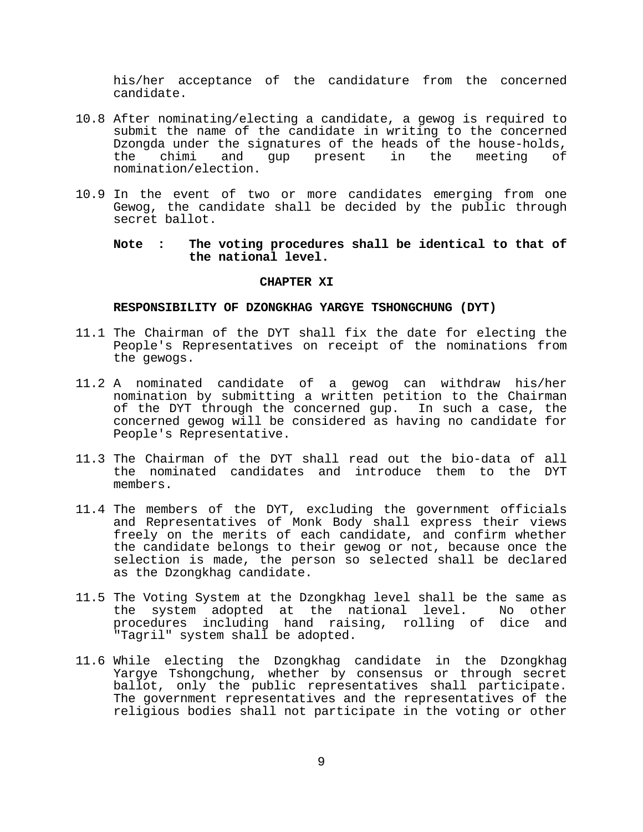his/her acceptance of the candidature from the concerned candidate.

- 10.8 After nominating/electing a candidate, a gewog is required to submit the name of the candidate in writing to the concerned Dzongda under the signatures of the heads of the house-holds, the chimi and gup present in the meeting of nomination/election.
- 10.9 In the event of two or more candidates emerging from one Gewog, the candidate shall be decided by the public through secret ballot.

# **Note : The voting procedures shall be identical to that of the national level.**

### **CHAPTER XI**

### **RESPONSIBILITY OF DZONGKHAG YARGYE TSHONGCHUNG (DYT)**

- 11.1 The Chairman of the DYT shall fix the date for electing the People's Representatives on receipt of the nominations from the gewogs.
- 11.2 A nominated candidate of a gewog can withdraw his/her nomination by submitting a written petition to the Chairman of the DYT through the concerned gup. In such a case, the concerned gewog will be considered as having no candidate for People's Representative.
- 11.3 The Chairman of the DYT shall read out the bio-data of all the nominated candidates and introduce them to the DYT members.
- 11.4 The members of the DYT, excluding the government officials and Representatives of Monk Body shall express their views freely on the merits of each candidate, and confirm whether the candidate belongs to their gewog or not, because once the selection is made, the person so selected shall be declared as the Dzongkhag candidate.
- 11.5 The Voting System at the Dzongkhag level shall be the same as the system adopted at the national level. No other procedures including hand raising, rolling of dice and "Tagril" system shall be adopted.
- 11.6 While electing the Dzongkhag candidate in the Dzongkhag Yargye Tshongchung, whether by consensus or through secret ballot, only the public representatives shall participate. The government representatives and the representatives of the religious bodies shall not participate in the voting or other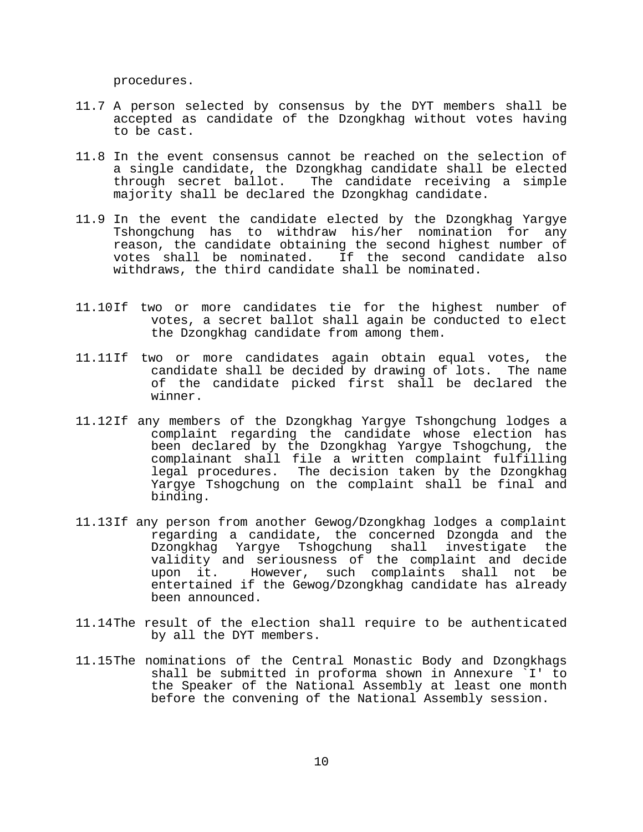procedures.

- 11.7 A person selected by consensus by the DYT members shall be accepted as candidate of the Dzongkhag without votes having to be cast.
- 11.8 In the event consensus cannot be reached on the selection of a single candidate, the Dzongkhag candidate shall be elected through secret ballot. The candidate receiving a simple majority shall be declared the Dzongkhag candidate.
- 11.9 In the event the candidate elected by the Dzongkhag Yargye Tshongchung has to withdraw his/her nomination for any reason, the candidate obtaining the second highest number of votes shall be nominated. If the second candidate also withdraws, the third candidate shall be nominated.
- 11.10 If two or more candidates tie for the highest number of votes, a secret ballot shall again be conducted to elect the Dzongkhag candidate from among them.
- 11.11 If two or more candidates again obtain equal votes, the candidate shall be decided by drawing of lots. The name of the candidate picked first shall be declared the winner.
- 11.12 If any members of the Dzongkhag Yargye Tshongchung lodges a complaint regarding the candidate whose election has been declared by the Dzongkhag Yargye Tshogchung, the complainant shall file a written complaint fulfilling legal procedures. The decision taken by the Dzongkhag Yargye Tshogchung on the complaint shall be final and binding.
- 11.13 If any person from another Gewog/Dzongkhag lodges a complaint regarding a candidate, the concerned Dzongda and the Dzongkhag Yargye Tshogchung shall investigate the validity and seriousness of the complaint and decide upon it. However, such complaints shall not be entertained if the Gewog/Dzongkhag candidate has already been announced.
- 11.14 The result of the election shall require to be authenticated by all the DYT members.
- 11.15 The nominations of the Central Monastic Body and Dzongkhags shall be submitted in proforma shown in Annexure `I' to the Speaker of the National Assembly at least one month before the convening of the National Assembly session.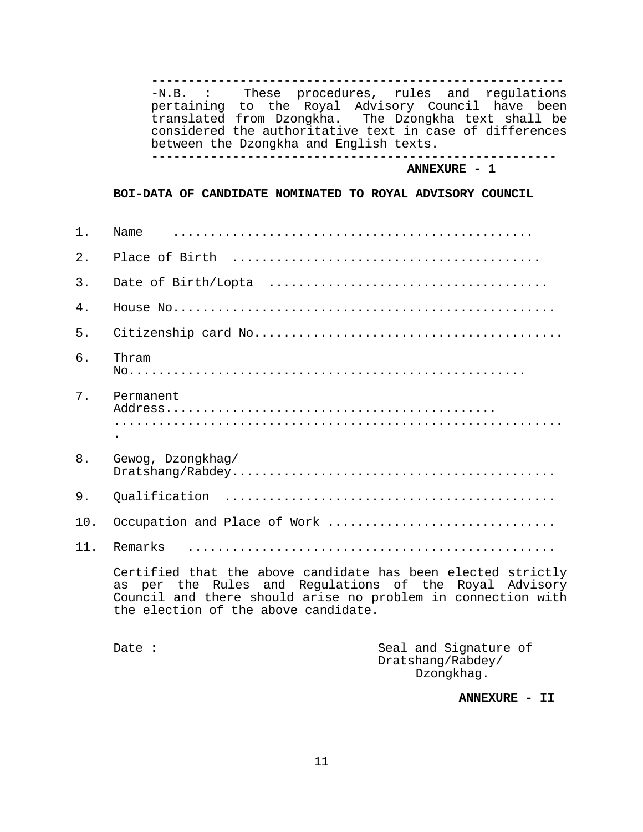-------------------------------------------------------- -N.B. : These procedures, rules and regulations pertaining to the Royal Advisory Council have been translated from Dzongkha. The Dzongkha text shall be considered the authoritative text in case of differences between the Dzongkha and English texts. between the Dzongkha and English texts. -------------------------------------------------------

**ANNEXURE - 1** 

#### **BOI-DATA OF CANDIDATE NOMINATED TO ROYAL ADVISORY COUNCIL**

| 1.  | Name                                                                                                                                                                                                                           |                                                          |  |  |  |
|-----|--------------------------------------------------------------------------------------------------------------------------------------------------------------------------------------------------------------------------------|----------------------------------------------------------|--|--|--|
| 2.  | Place of Birth                                                                                                                                                                                                                 |                                                          |  |  |  |
| 3.  |                                                                                                                                                                                                                                |                                                          |  |  |  |
| 4.  |                                                                                                                                                                                                                                |                                                          |  |  |  |
| 5.  |                                                                                                                                                                                                                                |                                                          |  |  |  |
| 6.  | Thram                                                                                                                                                                                                                          |                                                          |  |  |  |
| 7.  | Permanent                                                                                                                                                                                                                      |                                                          |  |  |  |
| 8.  | Gewog, Dzongkhag/                                                                                                                                                                                                              |                                                          |  |  |  |
| 9.  |                                                                                                                                                                                                                                |                                                          |  |  |  |
| 10. | Occupation and Place of Work                                                                                                                                                                                                   |                                                          |  |  |  |
| 11. | Remarks                                                                                                                                                                                                                        |                                                          |  |  |  |
|     | Certified that the above candidate has been elected strictly<br>as per the Rules and Regulations of the Royal Advisory<br>Council and there should arise no problem in connection with<br>the election of the above candidate. |                                                          |  |  |  |
|     | Date $:$                                                                                                                                                                                                                       | Seal and Signature of<br>Dratshang/Rabdey/<br>Dzongkhag. |  |  |  |

**ANNEXURE - II**